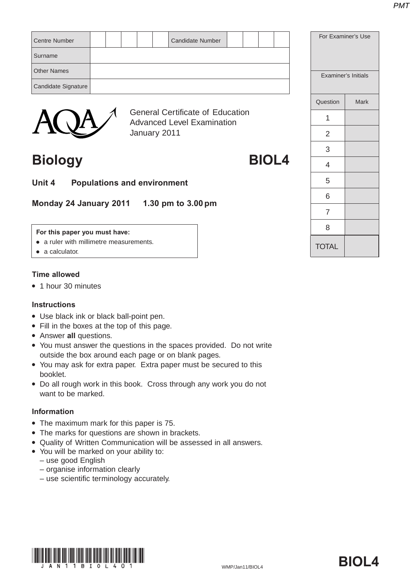|                      |  |  | <b>General Certificate of Education</b> |  |  |            |  |
|----------------------|--|--|-----------------------------------------|--|--|------------|--|
|                      |  |  |                                         |  |  | Question   |  |
| Candidate Signature  |  |  |                                         |  |  |            |  |
| <b>Other Names</b>   |  |  |                                         |  |  | Examiner's |  |
| Surname              |  |  |                                         |  |  |            |  |
| <b>Centre Number</b> |  |  | Candidate Number                        |  |  | For Examin |  |



General Certificate of Education Advanced Level Examination January 2011

### **Biology BIOL4**

**Unit 4 Populations and environment**

**Monday 24 January 2011 1.30 pm to 3.00 pm**

#### **For this paper you must have:**

- a ruler with millimetre measurements.
- $\bullet$  a calculator.

### **Time allowed**

• 1 hour 30 minutes

### **Instructions**

- Use black ink or black ball-point pen.
- Fill in the boxes at the top of this page.
- **Answer all questions.**
- You must answer the questions in the spaces provided. Do not write outside the box around each page or on blank pages.
- You may ask for extra paper. Extra paper must be secured to this booklet.
- Do all rough work in this book. Cross through any work you do not want to be marked.

### **Information**

- The maximum mark for this paper is 75.
- The marks for questions are shown in brackets.
- Quality of Written Communication will be assessed in all answers.
- You will be marked on your ability to:
	- use good English
	- organise information clearly
	- use scientific terminology accurately.



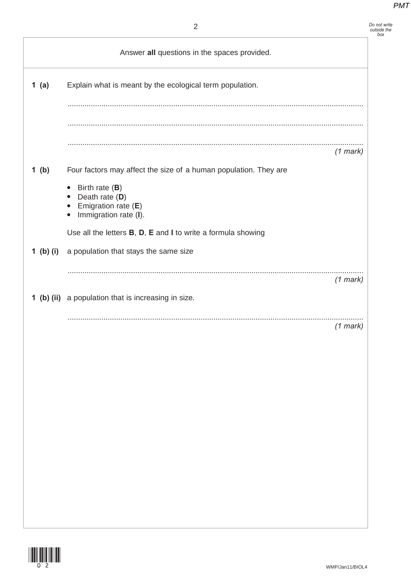Answer **all** questions in the spaces provided.

| Do not write<br>outside the<br>box |
|------------------------------------|
|                                    |
|                                    |
|                                    |

| 1 $(a)$   | Explain what is meant by the ecological term population.                                          |            |
|-----------|---------------------------------------------------------------------------------------------------|------------|
|           |                                                                                                   |            |
|           |                                                                                                   |            |
|           |                                                                                                   | $(1$ mark) |
| 1 $(b)$   | Four factors may affect the size of a human population. They are                                  |            |
|           | Birth rate $(B)$<br>Death rate (D)<br>$\bullet$<br>Emigration rate $(E)$<br>Immigration rate (I). |            |
|           | Use all the letters <b>B</b> , <b>D</b> , <b>E</b> and <b>I</b> to write a formula showing        |            |
| 1 (b) (i) | a population that stays the same size                                                             |            |
|           |                                                                                                   | $(1$ mark) |
|           | 1 (b) (ii) a population that is increasing in size.                                               |            |
|           |                                                                                                   | $(1$ mark) |

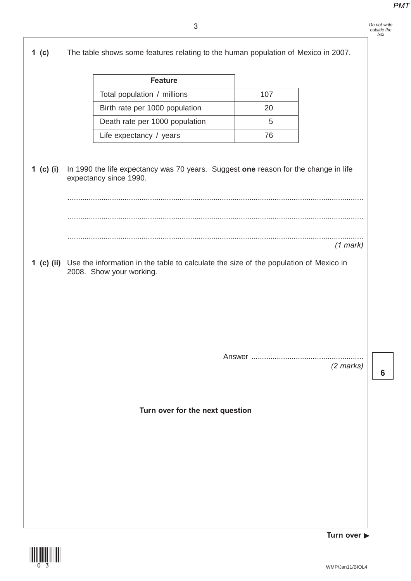

(1<u>1) (11) (11) (11)</u>

**Turn over** 

**6**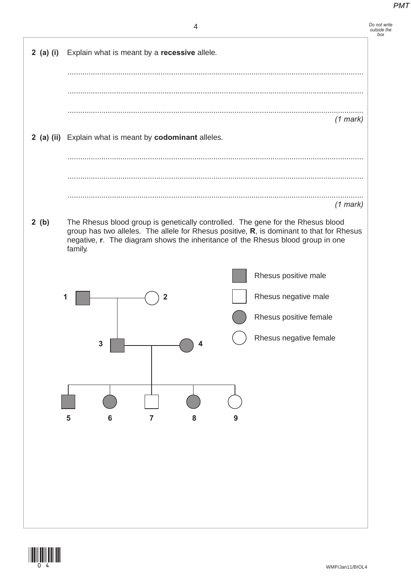*Do not write outside the box*

| $2$ (a) (i) | Explain what is meant by a recessive allele.                                                                                                                                           |
|-------------|----------------------------------------------------------------------------------------------------------------------------------------------------------------------------------------|
|             |                                                                                                                                                                                        |
|             |                                                                                                                                                                                        |
|             | $(1$ mark)                                                                                                                                                                             |
|             | 2 (a) (ii) Explain what is meant by codominant alleles.                                                                                                                                |
|             |                                                                                                                                                                                        |
|             |                                                                                                                                                                                        |
|             | $(1$ mark)                                                                                                                                                                             |
| 2(b)        | The Rhesus blood group is genetically controlled. The gene for the Rhesus blood                                                                                                        |
|             | group has two alleles. The allele for Rhesus positive, R, is dominant to that for Rhesus<br>negative, r. The diagram shows the inheritance of the Rhesus blood group in one<br>family. |
|             | Rhesus positive male                                                                                                                                                                   |
|             | Rhesus negative male<br>2                                                                                                                                                              |
|             | Rhesus positive female                                                                                                                                                                 |
|             | Rhesus negative female<br>3<br>4                                                                                                                                                       |
|             |                                                                                                                                                                                        |
|             |                                                                                                                                                                                        |
|             |                                                                                                                                                                                        |
|             | 5<br>$6\phantom{1}6$<br>8<br>$\overline{7}$<br>9                                                                                                                                       |
|             |                                                                                                                                                                                        |
|             |                                                                                                                                                                                        |
|             |                                                                                                                                                                                        |
|             |                                                                                                                                                                                        |
|             |                                                                                                                                                                                        |

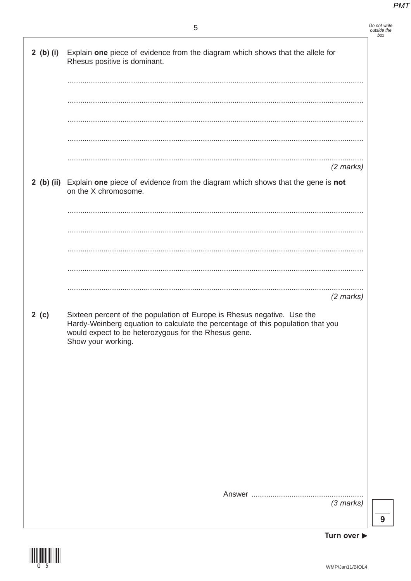Do not write<br>outside the<br>box

|      | 2 (b) (i) Explain one piece of evidence from the diagram which shows that the allele for<br>Rhesus positive is dominant.                                                                                                                 |                     |
|------|------------------------------------------------------------------------------------------------------------------------------------------------------------------------------------------------------------------------------------------|---------------------|
|      |                                                                                                                                                                                                                                          |                     |
|      |                                                                                                                                                                                                                                          |                     |
|      |                                                                                                                                                                                                                                          |                     |
|      |                                                                                                                                                                                                                                          |                     |
|      |                                                                                                                                                                                                                                          | $(2 \text{ marks})$ |
|      | 2 (b) (ii) Explain one piece of evidence from the diagram which shows that the gene is not<br>on the X chromosome.                                                                                                                       |                     |
|      |                                                                                                                                                                                                                                          |                     |
|      |                                                                                                                                                                                                                                          |                     |
|      |                                                                                                                                                                                                                                          |                     |
|      |                                                                                                                                                                                                                                          |                     |
|      |                                                                                                                                                                                                                                          | $(2$ marks)         |
| 2(c) | Sixteen percent of the population of Europe is Rhesus negative. Use the<br>Hardy-Weinberg equation to calculate the percentage of this population that you<br>would expect to be heterozygous for the Rhesus gene.<br>Show your working. |                     |
|      |                                                                                                                                                                                                                                          |                     |
|      |                                                                                                                                                                                                                                          |                     |
|      |                                                                                                                                                                                                                                          |                     |
|      |                                                                                                                                                                                                                                          |                     |
|      |                                                                                                                                                                                                                                          |                     |
|      |                                                                                                                                                                                                                                          |                     |
|      |                                                                                                                                                                                                                                          |                     |
|      |                                                                                                                                                                                                                                          | $(3$ marks)         |
|      |                                                                                                                                                                                                                                          |                     |



Turn over  $\blacktriangleright$ 

 $\overline{9}$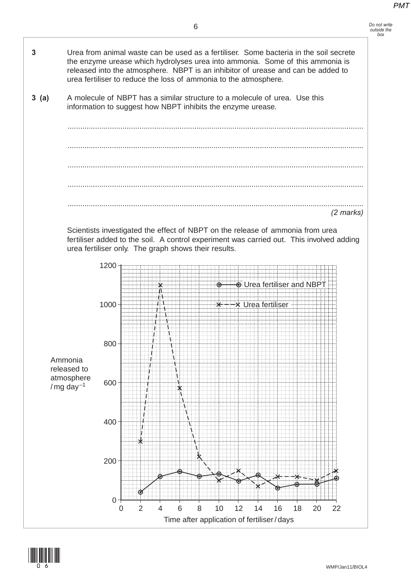

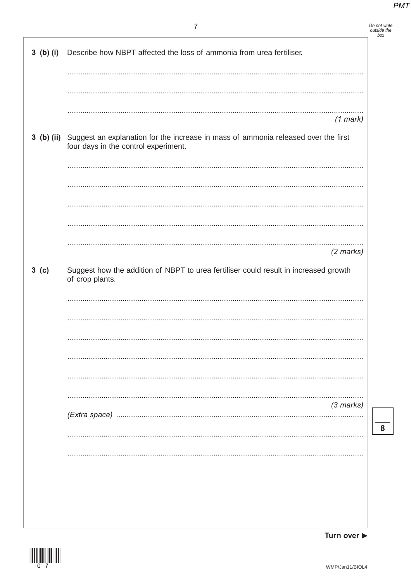Turn over  $\blacktriangleright$ 

|                  | 7                                                                                                                                     | Do not write<br>outside the<br>box |
|------------------|---------------------------------------------------------------------------------------------------------------------------------------|------------------------------------|
| $3$ (b) (i)      | Describe how NBPT affected the loss of ammonia from urea fertiliser.                                                                  |                                    |
|                  |                                                                                                                                       |                                    |
|                  | $(1$ mark)                                                                                                                            |                                    |
|                  | 3 (b) (ii) Suggest an explanation for the increase in mass of ammonia released over the first<br>four days in the control experiment. |                                    |
|                  |                                                                                                                                       |                                    |
|                  |                                                                                                                                       |                                    |
|                  |                                                                                                                                       |                                    |
|                  | $(2 \text{ marks})$                                                                                                                   |                                    |
| 3 <sub>(c)</sub> | Suggest how the addition of NBPT to urea fertiliser could result in increased growth<br>of crop plants.                               |                                    |
|                  |                                                                                                                                       |                                    |
|                  |                                                                                                                                       |                                    |
|                  |                                                                                                                                       |                                    |
|                  |                                                                                                                                       |                                    |
|                  | $(3 \text{ marks})$                                                                                                                   |                                    |
|                  |                                                                                                                                       | 8                                  |
|                  |                                                                                                                                       |                                    |
|                  |                                                                                                                                       |                                    |
|                  |                                                                                                                                       |                                    |
|                  |                                                                                                                                       |                                    |
|                  |                                                                                                                                       |                                    |

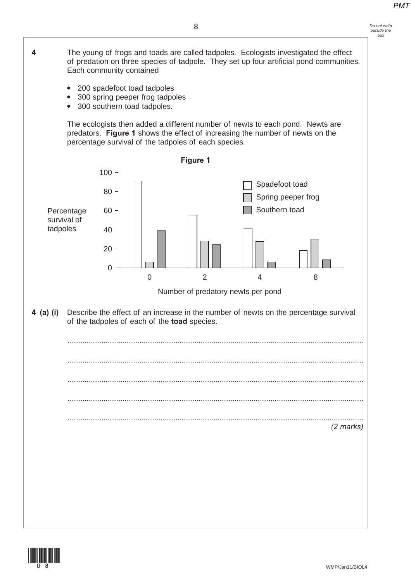

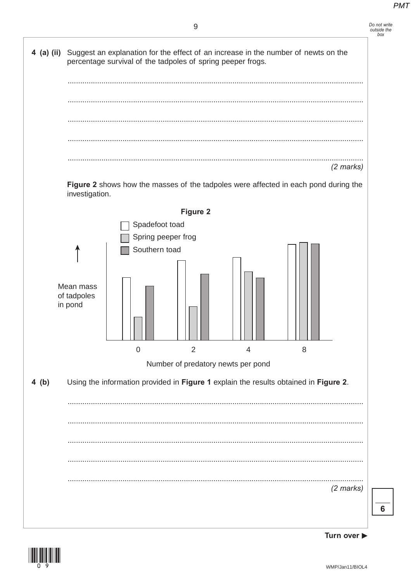## Do not write<br>outside the<br>box





6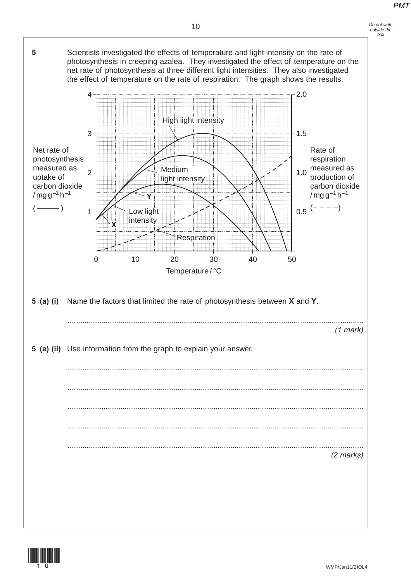

### **5 (a) (i)** Name the factors that limited the rate of photosynthesis between **X** and **Y**. ............................................................................................................................................

Temperature / °C

**Respiration** 

INISTE

*(1 mark)*

### **5 (a) (ii)** Use information from the graph to explain your answer.

0 10 20 30

**Y**

Low light intensity

1

**X**

2

3

Net rate of photosynthesis measured as uptake of carbon dioxide  $/mq q^{-1} h^{-1}$ ( )

4

............................................................................................................................................ ............................................................................................................................................ ............................................................................................................................................ ............................................................................................................................................ *(2 marks)*



High light intensity

Medium light intensity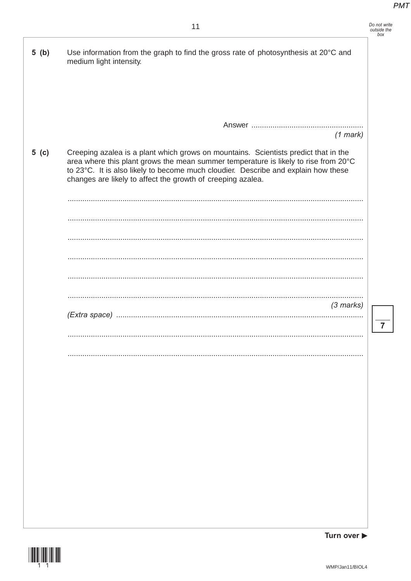| <i>Do not write</i><br>outside the<br>hox |
|-------------------------------------------|
|                                           |

 $\overline{7}$ 

| 5(b)   | Use information from the graph to find the gross rate of photosynthesis at 20°C and<br>medium light intensity.                                                                                                                                                                                                                  |
|--------|---------------------------------------------------------------------------------------------------------------------------------------------------------------------------------------------------------------------------------------------------------------------------------------------------------------------------------|
|        | $(1$ mark)                                                                                                                                                                                                                                                                                                                      |
| 5( c ) | Creeping azalea is a plant which grows on mountains. Scientists predict that in the<br>area where this plant grows the mean summer temperature is likely to rise from 20°C<br>to 23°C. It is also likely to become much cloudier. Describe and explain how these<br>changes are likely to affect the growth of creeping azalea. |
|        |                                                                                                                                                                                                                                                                                                                                 |
|        |                                                                                                                                                                                                                                                                                                                                 |
|        |                                                                                                                                                                                                                                                                                                                                 |
|        |                                                                                                                                                                                                                                                                                                                                 |
|        |                                                                                                                                                                                                                                                                                                                                 |
|        |                                                                                                                                                                                                                                                                                                                                 |
|        | $(3$ marks)                                                                                                                                                                                                                                                                                                                     |
|        |                                                                                                                                                                                                                                                                                                                                 |
|        |                                                                                                                                                                                                                                                                                                                                 |
|        |                                                                                                                                                                                                                                                                                                                                 |
|        |                                                                                                                                                                                                                                                                                                                                 |
|        |                                                                                                                                                                                                                                                                                                                                 |
|        |                                                                                                                                                                                                                                                                                                                                 |
|        |                                                                                                                                                                                                                                                                                                                                 |
|        |                                                                                                                                                                                                                                                                                                                                 |
|        |                                                                                                                                                                                                                                                                                                                                 |
|        |                                                                                                                                                                                                                                                                                                                                 |
|        |                                                                                                                                                                                                                                                                                                                                 |
|        | Turn over $\blacktriangleright$                                                                                                                                                                                                                                                                                                 |



J,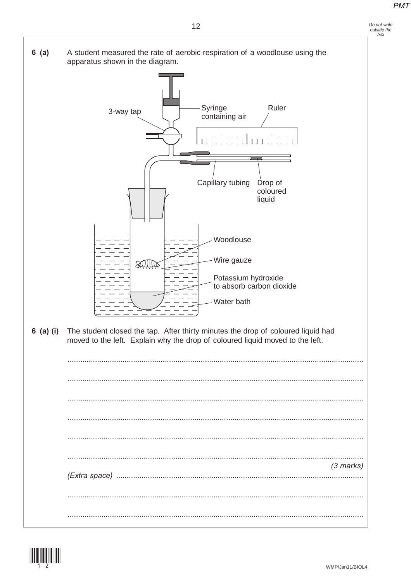



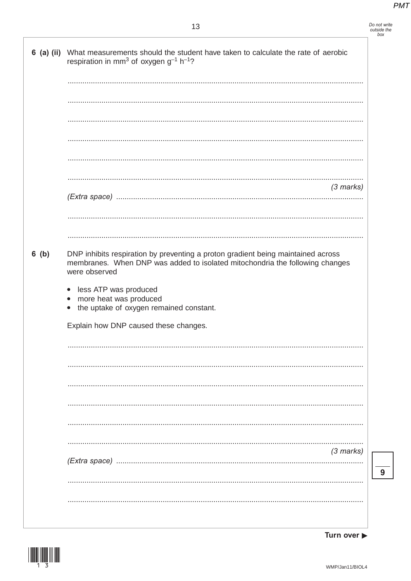Do not write<br>outside the<br>box

### 13

|         | 6 (a) (ii) What measurements should the student have taken to calculate the rate of aerobic<br>respiration in mm <sup>3</sup> of oxygen $g^{-1}$ h <sup>-1</sup> ?                                                                                                                           |
|---------|----------------------------------------------------------------------------------------------------------------------------------------------------------------------------------------------------------------------------------------------------------------------------------------------|
|         |                                                                                                                                                                                                                                                                                              |
|         |                                                                                                                                                                                                                                                                                              |
|         |                                                                                                                                                                                                                                                                                              |
|         |                                                                                                                                                                                                                                                                                              |
|         |                                                                                                                                                                                                                                                                                              |
|         | $(3$ marks)                                                                                                                                                                                                                                                                                  |
|         |                                                                                                                                                                                                                                                                                              |
|         |                                                                                                                                                                                                                                                                                              |
| $6$ (b) | DNP inhibits respiration by preventing a proton gradient being maintained across<br>membranes. When DNP was added to isolated mitochondria the following changes<br>were observed<br>less ATP was produced<br>$\bullet$<br>more heat was produced<br>the uptake of oxygen remained constant. |
|         | Explain how DNP caused these changes.                                                                                                                                                                                                                                                        |
|         |                                                                                                                                                                                                                                                                                              |
|         |                                                                                                                                                                                                                                                                                              |
|         |                                                                                                                                                                                                                                                                                              |
|         |                                                                                                                                                                                                                                                                                              |
|         |                                                                                                                                                                                                                                                                                              |
|         |                                                                                                                                                                                                                                                                                              |
|         | $(3$ marks)                                                                                                                                                                                                                                                                                  |
|         |                                                                                                                                                                                                                                                                                              |
|         |                                                                                                                                                                                                                                                                                              |
|         |                                                                                                                                                                                                                                                                                              |

Turn over  $\blacktriangleright$ 

 $\overline{9}$ 

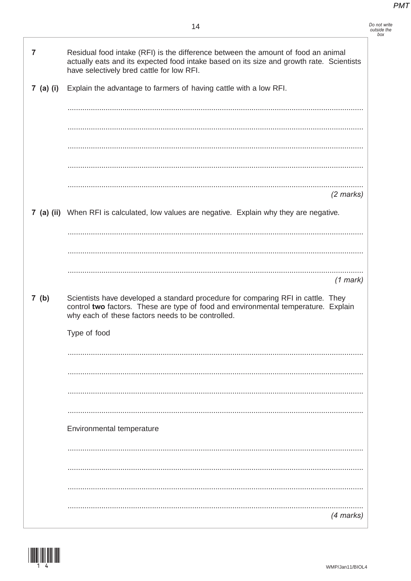Do not write<br>outside the<br>box

| 7    | Residual food intake (RFI) is the difference between the amount of food an animal<br>actually eats and its expected food intake based on its size and growth rate. Scientists<br>have selectively bred cattle for low RFI.  |
|------|-----------------------------------------------------------------------------------------------------------------------------------------------------------------------------------------------------------------------------|
|      | 7 (a) (i) Explain the advantage to farmers of having cattle with a low RFI.                                                                                                                                                 |
|      |                                                                                                                                                                                                                             |
|      |                                                                                                                                                                                                                             |
|      |                                                                                                                                                                                                                             |
|      |                                                                                                                                                                                                                             |
|      | $(2$ marks)                                                                                                                                                                                                                 |
|      | 7 (a) (ii) When RFI is calculated, low values are negative. Explain why they are negative.                                                                                                                                  |
|      |                                                                                                                                                                                                                             |
|      |                                                                                                                                                                                                                             |
|      | $(1$ mark)                                                                                                                                                                                                                  |
| 7(b) | Scientists have developed a standard procedure for comparing RFI in cattle. They<br>control two factors. These are type of food and environmental temperature. Explain<br>why each of these factors needs to be controlled. |
|      | Type of food                                                                                                                                                                                                                |
|      |                                                                                                                                                                                                                             |
|      |                                                                                                                                                                                                                             |
|      |                                                                                                                                                                                                                             |
|      |                                                                                                                                                                                                                             |
|      | Environmental temperature                                                                                                                                                                                                   |
|      |                                                                                                                                                                                                                             |
|      |                                                                                                                                                                                                                             |
|      |                                                                                                                                                                                                                             |
|      | (4 marks)                                                                                                                                                                                                                   |

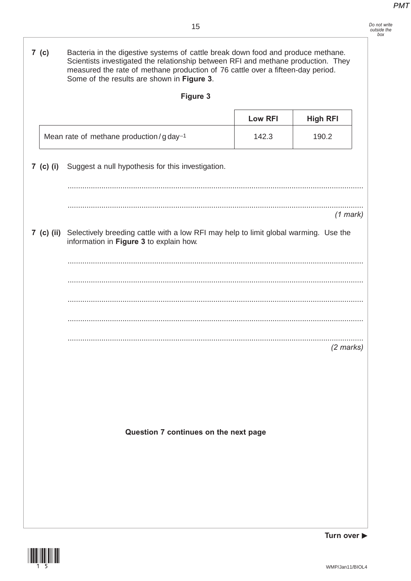*Do not write outside the box*

**7 (c)** Bacteria in the digestive systems of cattle break down food and produce methane. Scientists investigated the relationship between RFI and methane production. They measured the rate of methane production of 76 cattle over a fifteen-day period. Some of the results are shown in **Figure 3**. **Figure 3 7 (c) (i)** Suggest a null hypothesis for this investigation. ............................................................................................................................................ ............................................................................................................................................ *(1 mark)* **7 (c) (ii)** Selectively breeding cattle with a low RFI may help to limit global warming. Use the information in **Figure 3** to explain how. ............................................................................................................................................ ............................................................................................................................................ ............................................................................................................................................ ............................................................................................................................................ ............................................................................................................................................ *(2 marks)* **Question 7 continues on the next page** Low RFI | High RFI Mean rate of methane production/g  $day^{-1}$  142.3 190.2



**Turn over**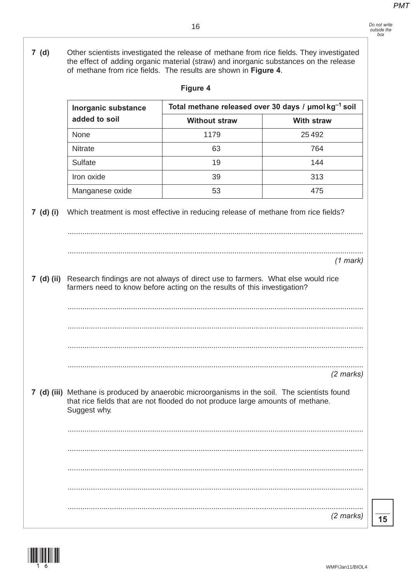*Do not write outside the box*

**7 (d)** Other scientists investigated the release of methane from rice fields. They investigated the effect of adding organic material (straw) and inorganic substances on the release of methane from rice fields. The results are shown in **Figure 4**. **Figure 4**

|            | Inorganic substance | Total methane released over 30 days / µmol kg <sup>-1</sup> soil                                                                                                                |                     |  |  |
|------------|---------------------|---------------------------------------------------------------------------------------------------------------------------------------------------------------------------------|---------------------|--|--|
|            | added to soil       | <b>Without straw</b>                                                                                                                                                            | <b>With straw</b>   |  |  |
|            | None                | 1179                                                                                                                                                                            | 25 4 9 2            |  |  |
|            | <b>Nitrate</b>      | 63                                                                                                                                                                              | 764                 |  |  |
|            | Sulfate             | 19                                                                                                                                                                              | 144                 |  |  |
|            | Iron oxide          | 39                                                                                                                                                                              | 313                 |  |  |
|            | Manganese oxide     | 53                                                                                                                                                                              | 475                 |  |  |
| 7 (d) (i)  |                     | Which treatment is most effective in reducing release of methane from rice fields?                                                                                              |                     |  |  |
|            |                     |                                                                                                                                                                                 | $(1$ mark)          |  |  |
| 7 (d) (ii) |                     | Research findings are not always of direct use to farmers. What else would rice<br>farmers need to know before acting on the results of this investigation?                     |                     |  |  |
|            |                     |                                                                                                                                                                                 | $(2$ marks)         |  |  |
|            | Suggest why.        | 7 (d) (iii) Methane is produced by anaerobic microorganisms in the soil. The scientists found<br>that rice fields that are not flooded do not produce large amounts of methane. |                     |  |  |
|            |                     |                                                                                                                                                                                 |                     |  |  |
|            |                     |                                                                                                                                                                                 |                     |  |  |
|            |                     |                                                                                                                                                                                 |                     |  |  |
|            |                     |                                                                                                                                                                                 |                     |  |  |
|            |                     |                                                                                                                                                                                 | $(2 \text{ marks})$ |  |  |



**15**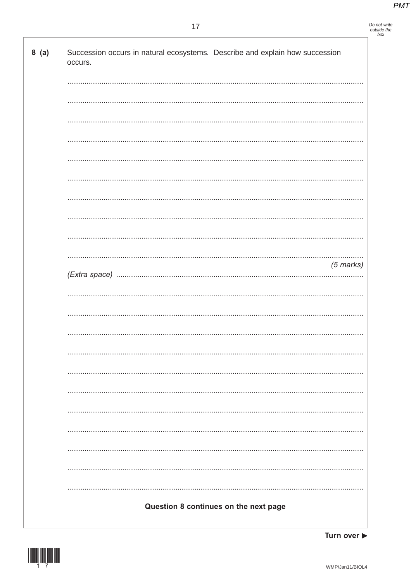## Do not write<br>outside the<br>box

| 8(a) | Succession occurs in natural ecosystems. Describe and explain how succession<br>occurs. |
|------|-----------------------------------------------------------------------------------------|
|      |                                                                                         |
|      |                                                                                         |
|      |                                                                                         |
|      |                                                                                         |
|      |                                                                                         |
|      |                                                                                         |
|      |                                                                                         |
|      |                                                                                         |
|      |                                                                                         |
|      | $(5$ marks)                                                                             |
|      |                                                                                         |
|      |                                                                                         |
|      |                                                                                         |
|      |                                                                                         |
|      |                                                                                         |
|      |                                                                                         |
|      |                                                                                         |
|      |                                                                                         |
|      |                                                                                         |
|      |                                                                                         |
|      | Question 8 continues on the next page                                                   |



Turn over  $\blacktriangleright$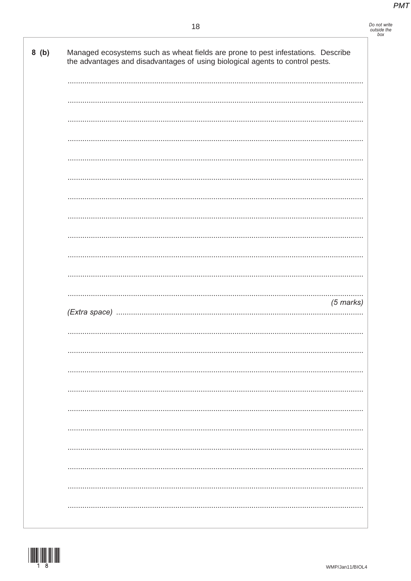# Do not write<br>outside the<br>box

| 8(b) | Managed ecosystems such as wheat fields are prone to pest infestations. Describe<br>the advantages and disadvantages of using biological agents to control pests. |
|------|-------------------------------------------------------------------------------------------------------------------------------------------------------------------|
|      |                                                                                                                                                                   |
|      |                                                                                                                                                                   |
|      |                                                                                                                                                                   |
|      |                                                                                                                                                                   |
|      |                                                                                                                                                                   |
|      |                                                                                                                                                                   |
|      |                                                                                                                                                                   |
|      |                                                                                                                                                                   |
|      |                                                                                                                                                                   |
|      |                                                                                                                                                                   |
|      |                                                                                                                                                                   |
|      | $(5$ marks)                                                                                                                                                       |
|      |                                                                                                                                                                   |
|      |                                                                                                                                                                   |
|      |                                                                                                                                                                   |
|      |                                                                                                                                                                   |
|      |                                                                                                                                                                   |
|      |                                                                                                                                                                   |
|      |                                                                                                                                                                   |
|      |                                                                                                                                                                   |
|      |                                                                                                                                                                   |
|      |                                                                                                                                                                   |

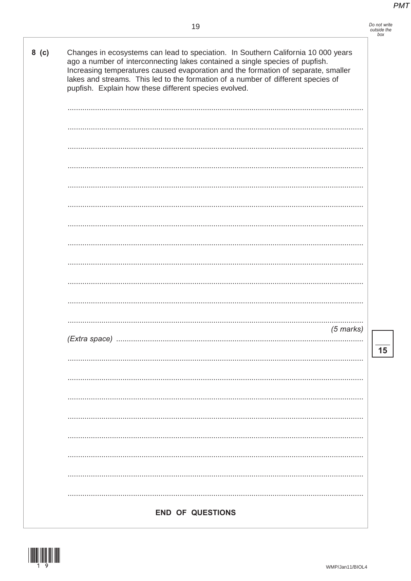| Do not write |
|--------------|
| outside the  |
| box          |

| $8$ (c) | Changes in ecosystems can lead to speciation. In Southern California 10 000 years<br>ago a number of interconnecting lakes contained a single species of pupfish.<br>Increasing temperatures caused evaporation and the formation of separate, smaller<br>lakes and streams. This led to the formation of a number of different species of<br>pupfish. Explain how these different species evolved. |
|---------|-----------------------------------------------------------------------------------------------------------------------------------------------------------------------------------------------------------------------------------------------------------------------------------------------------------------------------------------------------------------------------------------------------|
|         |                                                                                                                                                                                                                                                                                                                                                                                                     |
|         |                                                                                                                                                                                                                                                                                                                                                                                                     |
|         |                                                                                                                                                                                                                                                                                                                                                                                                     |
|         |                                                                                                                                                                                                                                                                                                                                                                                                     |
|         |                                                                                                                                                                                                                                                                                                                                                                                                     |
|         |                                                                                                                                                                                                                                                                                                                                                                                                     |
|         |                                                                                                                                                                                                                                                                                                                                                                                                     |
|         |                                                                                                                                                                                                                                                                                                                                                                                                     |
|         |                                                                                                                                                                                                                                                                                                                                                                                                     |
|         |                                                                                                                                                                                                                                                                                                                                                                                                     |
|         |                                                                                                                                                                                                                                                                                                                                                                                                     |
|         | $(5$ marks)                                                                                                                                                                                                                                                                                                                                                                                         |
|         |                                                                                                                                                                                                                                                                                                                                                                                                     |
|         |                                                                                                                                                                                                                                                                                                                                                                                                     |
|         |                                                                                                                                                                                                                                                                                                                                                                                                     |
|         |                                                                                                                                                                                                                                                                                                                                                                                                     |
|         |                                                                                                                                                                                                                                                                                                                                                                                                     |
|         |                                                                                                                                                                                                                                                                                                                                                                                                     |
|         |                                                                                                                                                                                                                                                                                                                                                                                                     |
|         | <b>END OF QUESTIONS</b>                                                                                                                                                                                                                                                                                                                                                                             |

 $\overline{\mathbf{15}}$